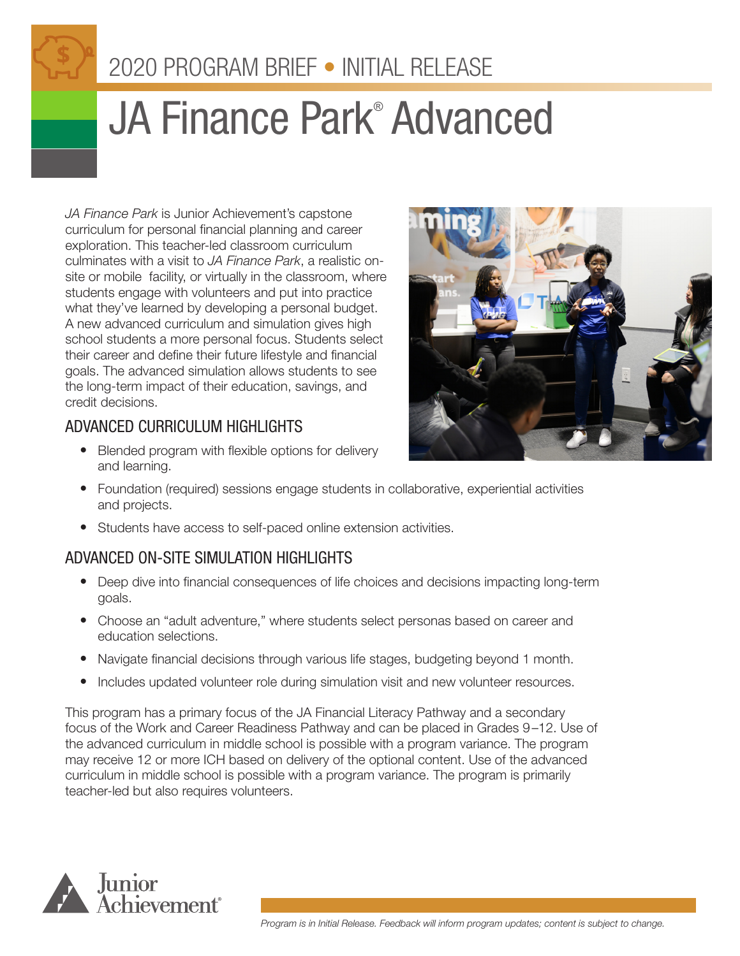# 2020 PROGRAM BRIEF • INITIAL RELEASE

# JA Finance Park<sup>®</sup> Advanced

*JA Finance Park* is Junior Achievement's capstone curriculum for personal financial planning and career exploration. This teacher-led classroom curriculum culminates with a visit to *JA Finance Park*, a realistic onsite or mobile facility, or virtually in the classroom, where students engage with volunteers and put into practice what they've learned by developing a personal budget. A new advanced curriculum and simulation gives high school students a more personal focus. Students select their career and define their future lifestyle and financial goals. The advanced simulation allows students to see the long-term impact of their education, savings, and credit decisions.



# ADVANCED CURRICULUM HIGHLIGHTS

- Blended program with flexible options for delivery and learning.
- Foundation (required) sessions engage students in collaborative, experiential activities and projects.
- Students have access to self-paced online extension activities.

# ADVANCED ON-SITE SIMULATION HIGHLIGHTS

- Deep dive into financial consequences of life choices and decisions impacting long-term goals.
- Choose an "adult adventure," where students select personas based on career and education selections.
- Navigate financial decisions through various life stages, budgeting beyond 1 month.
- Includes updated volunteer role during simulation visit and new volunteer resources.

This program has a primary focus of the JA Financial Literacy Pathway and a secondary focus of the Work and Career Readiness Pathway and can be placed in Grades 9–12. Use of the advanced curriculum in middle school is possible with a program variance. The program may receive 12 or more ICH based on delivery of the optional content. Use of the advanced curriculum in middle school is possible with a program variance. The program is primarily teacher-led but also requires volunteers.